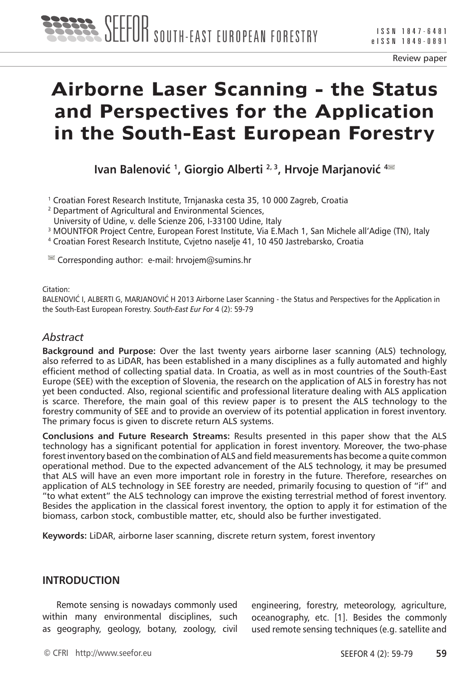

# **Airborne Laser Scanning - the Status and Perspectives for the Application in the South-East European Forestry**

**Ivan Balenović**<sup>1</sup>, Giorgio Alberti<sup>2,3</sup>, Hrvoje Marjanović<sup>4</sup><sup>■</sup>

1 Croatian Forest Research Institute, Trnjanaska cesta 35, 10 000 Zagreb, Croatia

2 Department of Agricultural and Environmental Sciences,

University of Udine, v. delle Scienze 206, I-33100 Udine, Italy

3 MOUNTFOR Project Centre, European Forest Institute, Via E.Mach 1, San Michele all'Adige (TN), Italy

4 Croatian Forest Research Institute, Cvjetno naselje 41, 10 450 Jastrebarsko, Croatia

 $\blacksquare$  Corresponding author: e-mail: hrvojem@sumins.hr

#### Citation:

BALENOVIĆ I, ALBERTI G, MARJANOVIĆ H 2013 Airborne Laser Scanning - the Status and Perspectives for the Application in the South-East European Forestry. *South-East Eur For* 4 (2): 59-79

## *Abstract*

**Background and Purpose:** Over the last twenty years airborne laser scanning (ALS) technology, also referred to as LiDAR, has been established in a many disciplines as a fully automated and highly efficient method of collecting spatial data. In Croatia, as well as in most countries of the South-East Europe (SEE) with the exception of Slovenia, the research on the application of ALS in forestry has not yet been conducted. Also, regional scientific and professional literature dealing with ALS application is scarce. Therefore, the main goal of this review paper is to present the ALS technology to the forestry community of SEE and to provide an overview of its potential application in forest inventory. The primary focus is given to discrete return ALS systems.

**Conclusions and Future Research Streams:** Results presented in this paper show that the ALS technology has a significant potential for application in forest inventory. Moreover, the two-phase forest inventory based on the combination of ALS and field measurements has become a quite common operational method. Due to the expected advancement of the ALS technology, it may be presumed that ALS will have an even more important role in forestry in the future. Therefore, researches on application of ALS technology in SEE forestry are needed, primarily focusing to question of "if" and "to what extent" the ALS technology can improve the existing terrestrial method of forest inventory. Besides the application in the classical forest inventory, the option to apply it for estimation of the biomass, carbon stock, combustible matter, etc, should also be further investigated.

**Keywords:** LiDAR, airborne laser scanning, discrete return system, forest inventory

#### **INTRODUCTION**

Remote sensing is nowadays commonly used within many environmental disciplines, such as geography, geology, botany, zoology, civil engineering, forestry, meteorology, agriculture, oceanography, etc. [1]. Besides the commonly used remote sensing techniques (e.g. satellite and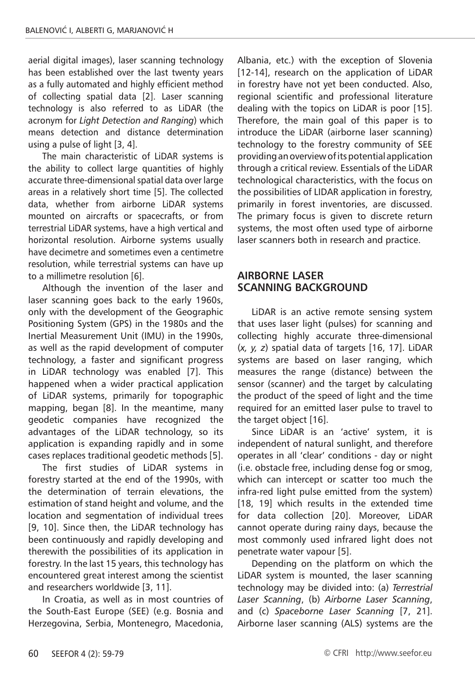aerial digital images), laser scanning technology has been established over the last twenty years as a fully automated and highly efficient method of collecting spatial data [2]. Laser scanning technology is also referred to as LiDAR (the acronym for *Light Detection and Ranging*) which means detection and distance determination using a pulse of light [3, 4].

The main characteristic of LiDAR systems is the ability to collect large quantities of highly accurate three-dimensional spatial data over large areas in a relatively short time [5]. The collected data, whether from airborne LiDAR systems mounted on aircrafts or spacecrafts, or from terrestrial LiDAR systems, have a high vertical and horizontal resolution. Airborne systems usually have decimetre and sometimes even a centimetre resolution, while terrestrial systems can have up to a millimetre resolution [6].

Although the invention of the laser and laser scanning goes back to the early 1960s, only with the development of the Geographic Positioning System (GPS) in the 1980s and the Inertial Measurement Unit (IMU) in the 1990s, as well as the rapid development of computer technology, a faster and significant progress in LiDAR technology was enabled [7]. This happened when a wider practical application of LiDAR systems, primarily for topographic mapping, began [8]. In the meantime, many geodetic companies have recognized the advantages of the LiDAR technology, so its application is expanding rapidly and in some cases replaces traditional geodetic methods [5].

The first studies of LiDAR systems in forestry started at the end of the 1990s, with the determination of terrain elevations, the estimation of stand height and volume, and the location and segmentation of individual trees [9, 10]. Since then, the LiDAR technology has been continuously and rapidly developing and therewith the possibilities of its application in forestry. In the last 15 years, this technology has encountered great interest among the scientist and researchers worldwide [3, 11].

In Croatia, as well as in most countries of the South-East Europe (SEE) (e.g. Bosnia and Herzegovina, Serbia, Montenegro, Macedonia, Albania, etc.) with the exception of Slovenia [12-14], research on the application of LiDAR in forestry have not yet been conducted. Also, regional scientific and professional literature dealing with the topics on LiDAR is poor [15]. Therefore, the main goal of this paper is to introduce the LiDAR (airborne laser scanning) technology to the forestry community of SEE providing an overview of its potential application through a critical review. Essentials of the LiDAR technological characteristics, with the focus on the possibilities of LIDAR application in forestry, primarily in forest inventories, are discussed. The primary focus is given to discrete return systems, the most often used type of airborne laser scanners both in research and practice.

## **AIRBORNE LASER SCANNING BACKGROUND**

LiDAR is an active remote sensing system that uses laser light (pulses) for scanning and collecting highly accurate three-dimensional (*x, y, z*) spatial data of targets [16, 17]. LiDAR systems are based on laser ranging, which measures the range (distance) between the sensor (scanner) and the target by calculating the product of the speed of light and the time required for an emitted laser pulse to travel to the target object [16].

Since LiDAR is an 'active' system, it is independent of natural sunlight, and therefore operates in all 'clear' conditions - day or night (i.e. obstacle free, including dense fog or smog, which can intercept or scatter too much the infra-red light pulse emitted from the system) [18, 19] which results in the extended time for data collection [20]. Moreover, LiDAR cannot operate during rainy days, because the most commonly used infrared light does not penetrate water vapour [5].

Depending on the platform on which the LiDAR system is mounted, the laser scanning technology may be divided into: (a) *Terrestrial Laser Scanning*, (b) *Airborne Laser Scanning*, and (c) *Spaceborne Laser Scanning* [7, 21]. Airborne laser scanning (ALS) systems are the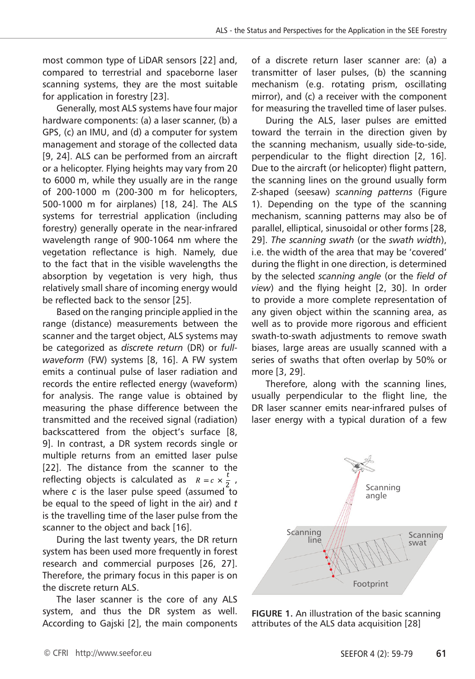most common type of LiDAR sensors [22] and, compared to terrestrial and spaceborne laser scanning systems, they are the most suitable for application in forestry [23].

Generally, most ALS systems have four major hardware components: (a) a laser scanner, (b) a GPS, (c) an IMU, and (d) a computer for system management and storage of the collected data [9, 24]. ALS can be performed from an aircraft or a helicopter. Flying heights may vary from 20 to 6000 m, while they usually are in the range of 200-1000 m (200-300 m for helicopters, 500-1000 m for airplanes) [18, 24]. The ALS systems for terrestrial application (including forestry) generally operate in the near-infrared wavelength range of 900-1064 nm where the vegetation reflectance is high. Namely, due to the fact that in the visible wavelengths the absorption by vegetation is very high, thus relatively small share of incoming energy would be reflected back to the sensor [25].

Based on the ranging principle applied in the range (distance) measurements between the scanner and the target object, ALS systems may be categorized as *discrete return* (DR) or *fullwaveform* (FW) systems [8, 16]. A FW system emits a continual pulse of laser radiation and records the entire reflected energy (waveform) for analysis. The range value is obtained by measuring the phase difference between the transmitted and the received signal (radiation) backscattered from the object's surface [8, 9]. In contrast, a DR system records single or multiple returns from an emitted laser pulse [22]. The distance from the scanner to the reflecting objects is calculated as  $R = c \times \frac{c}{2}$ , where *c* is the laser pulse speed (assumed to be equal to the speed of light in the air) and *t* is the travelling time of the laser pulse from the scanner to the object and back [16].

During the last twenty years, the DR return system has been used more frequently in forest research and commercial purposes [26, 27]. Therefore, the primary focus in this paper is on the discrete return ALS.

The laser scanner is the core of any ALS system, and thus the DR system as well. According to Gajski [2], the main components of a discrete return laser scanner are: (a) a transmitter of laser pulses, (b) the scanning mechanism (e.g. rotating prism, oscillating mirror), and (c) a receiver with the component for measuring the travelled time of laser pulses.

During the ALS, laser pulses are emitted toward the terrain in the direction given by the scanning mechanism, usually side-to-side, perpendicular to the flight direction [2, 16]. Due to the aircraft (or helicopter) flight pattern, the scanning lines on the ground usually form Z-shaped (seesaw) *scanning patterns* (Figure 1). Depending on the type of the scanning mechanism, scanning patterns may also be of parallel, elliptical, sinusoidal or other forms [28, 29]. *The scanning swath* (or the *swath width*), i.e. the width of the area that may be 'covered' during the flight in one direction, is determined by the selected *scanning angle* (or the *field of view*) and the flying height [2, 30]. In order to provide a more complete representation of any given object within the scanning area, as well as to provide more rigorous and efficient swath-to-swath adjustments to remove swath biases, large areas are usually scanned with a series of swaths that often overlap by 50% or more [3, 29].

Therefore, along with the scanning lines, usually perpendicular to the flight line, the DR laser scanner emits near-infrared pulses of laser energy with a typical duration of a few



**FIGURE 1.** An illustration of the basic scanning attributes of the ALS data acquisition [28]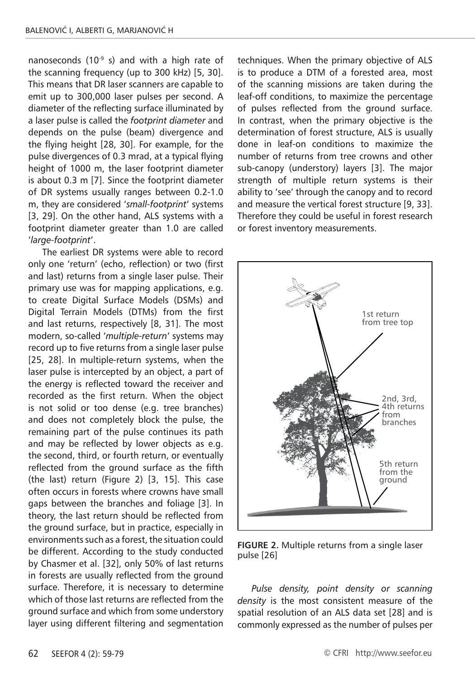nanoseconds (10 $-9$  s) and with a high rate of the scanning frequency (up to 300 kHz) [5, 30]. This means that DR laser scanners are capable to emit up to 300,000 laser pulses per second. A diameter of the reflecting surface illuminated by a laser pulse is called the *footprint diameter* and depends on the pulse (beam) divergence and the flying height [28, 30]. For example, for the pulse divergences of 0.3 mrad, at a typical flying height of 1000 m, the laser footprint diameter is about 0.3 m [7]. Since the footprint diameter of DR systems usually ranges between 0.2-1.0 m, they are considered '*small-footprint*' systems [3, 29]. On the other hand, ALS systems with a footprint diameter greater than 1.0 are called '*large-footprint*'.

The earliest DR systems were able to record only one 'return' (echo, reflection) or two (first and last) returns from a single laser pulse. Their primary use was for mapping applications, e.g. to create Digital Surface Models (DSMs) and Digital Terrain Models (DTMs) from the first and last returns, respectively [8, 31]. The most modern, so-called '*multiple-return*' systems may record up to five returns from a single laser pulse [25, 28]. In multiple-return systems, when the laser pulse is intercepted by an object, a part of the energy is reflected toward the receiver and recorded as the first return. When the object is not solid or too dense (e.g. tree branches) and does not completely block the pulse, the remaining part of the pulse continues its path and may be reflected by lower objects as e.g. the second, third, or fourth return, or eventually reflected from the ground surface as the fifth (the last) return (Figure 2) [3, 15]. This case often occurs in forests where crowns have small gaps between the branches and foliage [3]. In theory, the last return should be reflected from the ground surface, but in practice, especially in environments such as a forest, the situation could be different. According to the study conducted by Chasmer et al. [32], only 50% of last returns in forests are usually reflected from the ground surface. Therefore, it is necessary to determine which of those last returns are reflected from the ground surface and which from some understory layer using different filtering and segmentation

techniques. When the primary objective of ALS is to produce a DTM of a forested area, most of the scanning missions are taken during the leaf-off conditions, to maximize the percentage of pulses reflected from the ground surface. In contrast, when the primary objective is the determination of forest structure, ALS is usually done in leaf-on conditions to maximize the number of returns from tree crowns and other sub-canopy (understory) layers [3]. The major strength of multiple return systems is their ability to 'see' through the canopy and to record and measure the vertical forest structure [9, 33]. Therefore they could be useful in forest research or forest inventory measurements.



**FIGURE 2.** Multiple returns from a single laser pulse [26]

*Pulse density, point density or scanning density* is the most consistent measure of the spatial resolution of an ALS data set [28] and is commonly expressed as the number of pulses per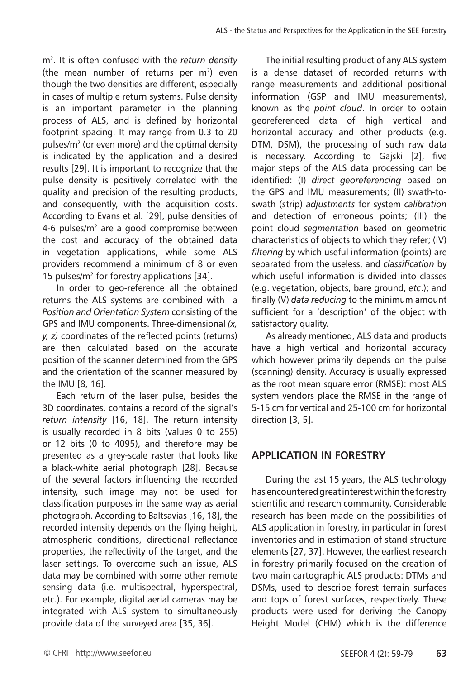m2. It is often confused with the *return density* (the mean number of returns per  $m<sup>2</sup>$ ) even though the two densities are different, especially in cases of multiple return systems. Pulse density is an important parameter in the planning process of ALS, and is defined by horizontal footprint spacing. It may range from 0.3 to 20 pulses/m2 (or even more) and the optimal density is indicated by the application and a desired results [29]. It is important to recognize that the pulse density is positively correlated with the quality and precision of the resulting products, and consequently, with the acquisition costs. According to Evans et al. [29], pulse densities of 4-6 pulses/ $m<sup>2</sup>$  are a good compromise between the cost and accuracy of the obtained data in vegetation applications, while some ALS providers recommend a minimum of 8 or even 15 pulses/ $m^2$  for forestry applications [34].

In order to geo-reference all the obtained returns the ALS systems are combined with a *Position and Orientation System* consisting of the GPS and IMU components. Three-dimensional *(x, y, z)* coordinates of the reflected points (returns) are then calculated based on the accurate position of the scanner determined from the GPS and the orientation of the scanner measured by the IMU [8, 16].

Each return of the laser pulse, besides the 3D coordinates, contains a record of the signal's *return intensity* [16, 18]. The return intensity is usually recorded in 8 bits (values 0 to 255) or 12 bits (0 to 4095), and therefore may be presented as a grey-scale raster that looks like a black-white aerial photograph [28]. Because of the several factors influencing the recorded intensity, such image may not be used for classification purposes in the same way as aerial photograph. According to Baltsavias [16, 18], the recorded intensity depends on the flying height, atmospheric conditions, directional reflectance properties, the reflectivity of the target, and the laser settings. To overcome such an issue, ALS data may be combined with some other remote sensing data (i.e. multispectral, hyperspectral, etc.). For example, digital aerial cameras may be integrated with ALS system to simultaneously provide data of the surveyed area [35, 36].

The initial resulting product of any ALS system is a dense dataset of recorded returns with range measurements and additional positional information (GSP and IMU measurements), known as the *point cloud*. In order to obtain georeferenced data of high vertical and horizontal accuracy and other products (e.g. DTM, DSM), the processing of such raw data is necessary. According to Gajski [2], five major steps of the ALS data processing can be identified: (I) *direct georeferencing* based on the GPS and IMU measurements; (II) swath-toswath (strip) *adjustments* for system *calibration* and detection of erroneous points; (III) the point cloud *segmentation* based on geometric characteristics of objects to which they refer; (IV) *filtering* by which useful information (points) are separated from the useless, and *classification* by which useful information is divided into classes (e.g. vegetation, objects, bare ground, *etc*.); and finally (V) *data reducing* to the minimum amount sufficient for a 'description' of the object with satisfactory quality.

As already mentioned, ALS data and products have a high vertical and horizontal accuracy which however primarily depends on the pulse (scanning) density. Accuracy is usually expressed as the root mean square error (RMSE): most ALS system vendors place the RMSE in the range of 5-15 cm for vertical and 25-100 cm for horizontal direction [3, 5].

## **APPLICATION IN FORESTRY**

During the last 15 years, the ALS technology has encountered great interest within the forestry scientific and research community. Considerable research has been made on the possibilities of ALS application in forestry, in particular in forest inventories and in estimation of stand structure elements [27, 37]. However, the earliest research in forestry primarily focused on the creation of two main cartographic ALS products: DTMs and DSMs, used to describe forest terrain surfaces and tops of forest surfaces, respectively. These products were used for deriving the Canopy Height Model (CHM) which is the difference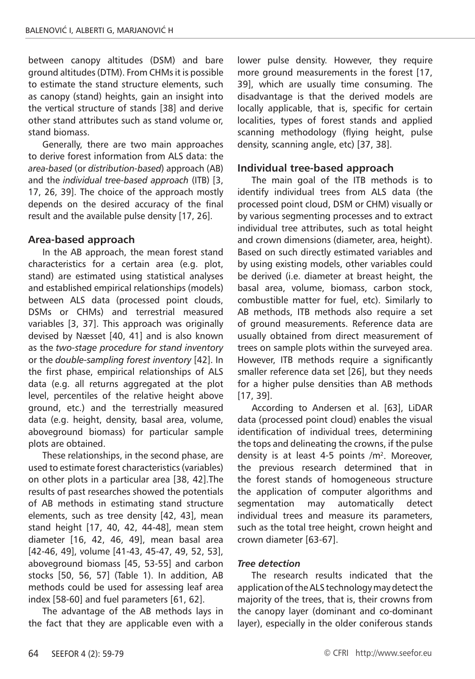between canopy altitudes (DSM) and bare ground altitudes (DTM). From CHMs it is possible to estimate the stand structure elements, such as canopy (stand) heights, gain an insight into the vertical structure of stands [38] and derive other stand attributes such as stand volume or, stand biomass.

Generally, there are two main approaches to derive forest information from ALS data: the *area-based* (or *distribution-based*) approach (AB) and the *individual tree-based approach* (ITB) [3, 17, 26, 39]. The choice of the approach mostly depends on the desired accuracy of the final result and the available pulse density [17, 26].

## **Area-based approach**

In the AB approach, the mean forest stand characteristics for a certain area (e.g. plot, stand) are estimated using statistical analyses and established empirical relationships (models) between ALS data (processed point clouds, DSMs or CHMs) and terrestrial measured variables [3, 37]. This approach was originally devised by Næsset [40, 41] and is also known as the *two-stage procedure for stand inventory* or the *double-sampling forest inventory* [42]. In the first phase, empirical relationships of ALS data (e.g. all returns aggregated at the plot level, percentiles of the relative height above ground, etc.) and the terrestrially measured data (e.g. height, density, basal area, volume, aboveground biomass) for particular sample plots are obtained.

These relationships, in the second phase, are used to estimate forest characteristics (variables) on other plots in a particular area [38, 42].The results of past researches showed the potentials of AB methods in estimating stand structure elements, such as tree density [42, 43], mean stand height [17, 40, 42, 44-48], mean stem diameter [16, 42, 46, 49], mean basal area [42-46, 49], volume [41-43, 45-47, 49, 52, 53], aboveground biomass [45, 53-55] and carbon stocks [50, 56, 57] (Table 1). In addition, AB methods could be used for assessing leaf area index [58-60] and fuel parameters [61, 62].

The advantage of the AB methods lays in the fact that they are applicable even with a lower pulse density. However, they require more ground measurements in the forest [17, 39], which are usually time consuming. The disadvantage is that the derived models are locally applicable, that is, specific for certain localities, types of forest stands and applied scanning methodology (flying height, pulse density, scanning angle, etc) [37, 38].

## **Individual tree-based approach**

The main goal of the ITB methods is to identify individual trees from ALS data (the processed point cloud, DSM or CHM) visually or by various segmenting processes and to extract individual tree attributes, such as total height and crown dimensions (diameter, area, height). Based on such directly estimated variables and by using existing models, other variables could be derived (i.e. diameter at breast height, the basal area, volume, biomass, carbon stock, combustible matter for fuel, etc). Similarly to AB methods, ITB methods also require a set of ground measurements. Reference data are usually obtained from direct measurement of trees on sample plots within the surveyed area. However, ITB methods require a significantly smaller reference data set [26], but they needs for a higher pulse densities than AB methods [17, 39].

According to Andersen et al. [63], LiDAR data (processed point cloud) enables the visual identification of individual trees, determining the tops and delineating the crowns, if the pulse density is at least 4-5 points  $/m<sup>2</sup>$ . Moreover, the previous research determined that in the forest stands of homogeneous structure the application of computer algorithms and segmentation may automatically detect individual trees and measure its parameters, such as the total tree height, crown height and crown diameter [63-67].

### *Tree detection*

The research results indicated that the application of the ALS technology may detect the majority of the trees, that is, their crowns from the canopy layer (dominant and co-dominant layer), especially in the older coniferous stands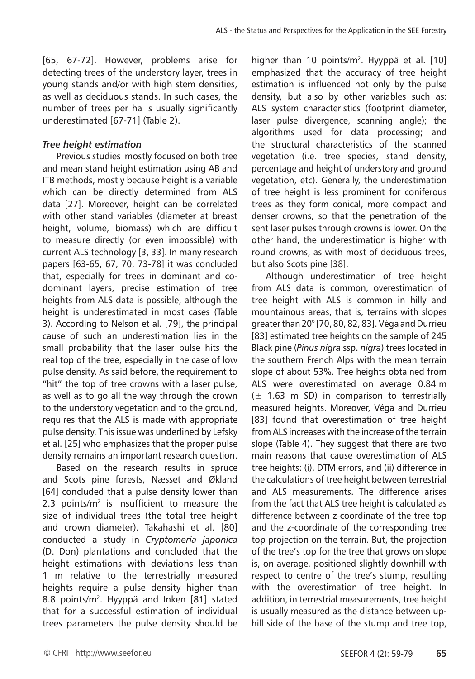[65, 67-72]. However, problems arise for detecting trees of the understory layer, trees in young stands and/or with high stem densities, as well as deciduous stands. In such cases, the number of trees per ha is usually significantly underestimated [67-71] (Table 2).

### *Tree height estimation*

Previous studies mostly focused on both tree and mean stand height estimation using AB and ITB methods, mostly because height is a variable which can be directly determined from ALS data [27]. Moreover, height can be correlated with other stand variables (diameter at breast height, volume, biomass) which are difficult to measure directly (or even impossible) with current ALS technology [3, 33]. In many research papers [63-65, 67, 70, 73-78] it was concluded that, especially for trees in dominant and codominant layers, precise estimation of tree heights from ALS data is possible, although the height is underestimated in most cases (Table 3). According to Nelson et al. [79], the principal cause of such an underestimation lies in the small probability that the laser pulse hits the real top of the tree, especially in the case of low pulse density. As said before, the requirement to "hit" the top of tree crowns with a laser pulse, as well as to go all the way through the crown to the understory vegetation and to the ground, requires that the ALS is made with appropriate pulse density. This issue was underlined by Lefsky et al. [25] who emphasizes that the proper pulse density remains an important research question.

Based on the research results in spruce and Scots pine forests, Næsset and Økland [64] concluded that a pulse density lower than 2.3 points/ $m<sup>2</sup>$  is insufficient to measure the size of individual trees (the total tree height and crown diameter). Takahashi et al. [80] conducted a study in *Cryptomeria japonica* (D. Don) plantations and concluded that the height estimations with deviations less than 1 m relative to the terrestrially measured heights require a pulse density higher than 8.8 points/m<sup>2</sup>. Hyyppä and Inken [81] stated that for a successful estimation of individual trees parameters the pulse density should be

higher than 10 points/m<sup>2</sup>. Hyyppä et al. [10] emphasized that the accuracy of tree height estimation is influenced not only by the pulse density, but also by other variables such as: ALS system characteristics (footprint diameter, laser pulse divergence, scanning angle); the algorithms used for data processing; and the structural characteristics of the scanned vegetation (i.e. tree species, stand density, percentage and height of understory and ground vegetation, etc). Generally, the underestimation of tree height is less prominent for coniferous trees as they form conical, more compact and denser crowns, so that the penetration of the sent laser pulses through crowns is lower. On the other hand, the underestimation is higher with round crowns, as with most of deciduous trees, but also Scots pine [38].

Although underestimation of tree height from ALS data is common, overestimation of tree height with ALS is common in hilly and mountainous areas, that is, terrains with slopes greater than 20° [70, 80, 82, 83]. Véga and Durrieu [83] estimated tree heights on the sample of 245 Black pine (*Pinus nigra* ssp. *nigra*) trees located in the southern French Alps with the mean terrain slope of about 53%. Tree heights obtained from ALS were overestimated on average 0.84 m  $(\pm$  1.63 m SD) in comparison to terrestrially measured heights. Moreover, Véga and Durrieu [83] found that overestimation of tree height from ALS increases with the increase of the terrain slope (Table 4). They suggest that there are two main reasons that cause overestimation of ALS tree heights: (i), DTM errors, and (ii) difference in the calculations of tree height between terrestrial and ALS measurements. The difference arises from the fact that ALS tree height is calculated as difference between z-coordinate of the tree top and the z-coordinate of the corresponding tree top projection on the terrain. But, the projection of the tree's top for the tree that grows on slope is, on average, positioned slightly downhill with respect to centre of the tree's stump, resulting with the overestimation of tree height. In addition, in terrestrial measurements, tree height is usually measured as the distance between uphill side of the base of the stump and tree top,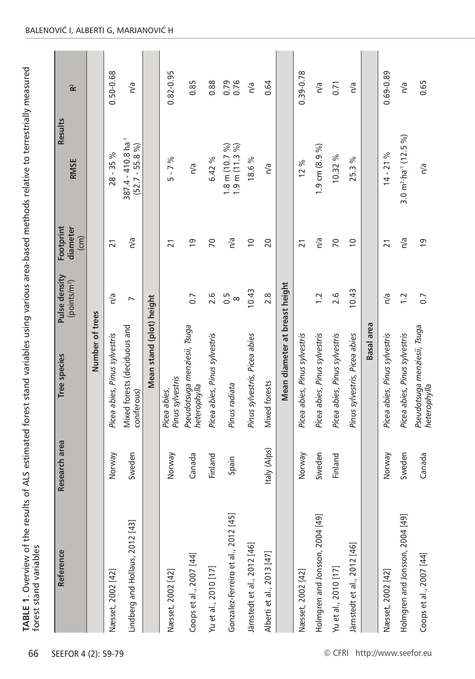| Reference                           | Research area | Tree species                                 | Pulse density                | Footprint                      | <b>Results</b>                                     |                      |
|-------------------------------------|---------------|----------------------------------------------|------------------------------|--------------------------------|----------------------------------------------------|----------------------|
|                                     |               |                                              | (points/m <sup>2</sup> )     | diameter<br>$\left( cm\right)$ | <b>RMSE</b>                                        | $\mathbf{\tilde{r}}$ |
|                                     |               | Number of trees                              |                              |                                |                                                    |                      |
| Næsset, 2002 [42]                   | Norway        | Picea abies, Pinus sylvestris                | n/a                          | $\overline{21}$                | $28 - 35%$                                         | 0.50-0.68            |
| Lindberg and Hollaus, 2012 [43]     | Sweden        | Mixed forests (deciduous and<br>coniferous)  | $\overline{ }$               | n/a                            | 387.4 - 410.8 ha <sup>-1</sup><br>$(52.7 - 55.8 %$ | n/a                  |
|                                     |               | Mean stand (plot) height                     |                              |                                |                                                    |                      |
| Næsset, 2002 [42]                   | Norway        | Pinus sylvestris<br>Picea abies,             |                              | $\overline{21}$                | $5 - 7%$                                           | 0.82-0.95            |
| Coops et al., 2007 [44]             | Canada        | Pseudotsuga menziesii, Tsuga<br>heterophylla | 0.7                          | $\overline{0}$                 | n/a                                                | 0.85                 |
| Yu et al., 2010 [17]                | Finland       | Picea abies, Pinus sylvestris                | 2.6                          | $\overline{70}$                | 6.42 %                                             | 0.88                 |
| Gonzalez-Ferreiro et al., 2012 [45] | Spain         | Pinus radiata                                | $0.\overline{5}$<br>$\infty$ | n/a                            | $1.8$ m $(10.7\%)$<br>1.9 m (11.3 %)               | 0.76<br>0.79         |
| Järnstedt et al., 2012 [46]         |               | Pinus sylvestris, Picea abies                | 10.43                        | $\overline{C}$                 | 18.6%                                              | n/a                  |
| Alberti et al., 2013 [47]           | Italy (Alps)  | Mixed forests                                | 2.8                          | 20                             | n/a                                                | 0.64                 |
|                                     |               | Mean diameter at breast height               |                              |                                |                                                    |                      |
| Næsset, 2002 [42]                   | Norway        | Picea abies, Pinus sylvestris                |                              | $\overline{21}$                | 12%                                                | 0.39-0.78            |
| Holmgren and Jonsson, 2004 [49]     | Sweden        | Picea abies, Pinus sylvestris                | 1.2                          | n/a                            | 1.9 cm (8.9 %)                                     | n/a                  |
| Yu et al., 2010 [17]                | Finland       | Picea abies, Pinus sylvestris                | 2.6                          | $\overline{70}$                | 10.32 %                                            | 0.71                 |
| Järnstedt et al., 2012 [46]         |               | Pinus sylvestris, Picea abies                | 10.43                        | $\overline{0}$                 | న<br>25.3 <sub>0</sub>                             | n/a                  |
|                                     |               | <b>Basal</b> area                            |                              |                                |                                                    |                      |
| Næsset, 2002 [42]                   | Norway        | Picea abies, Pinus sylvestris                | n/a                          | $\overline{21}$                | $14 - 21%$                                         | 0.69-0.89            |
| Holmgren and Jonsson, 2004 [49]     | Sweden        | Picea abies, Pinus sylvestris                | 1.2                          | n/a                            | 3.0 $m^2$ ha <sup>-1</sup> (12.5 %)                | n/a                  |
| Coops et al., 2007 [44]             | Canada        | Pseudotsuga menziesii, Tsuga<br>heterophylla | 0.7                          | $\overline{0}$                 | n/a                                                | 0.65                 |

### BALENOVIĆ I, ALBERTI G, MARJANOVIĆ H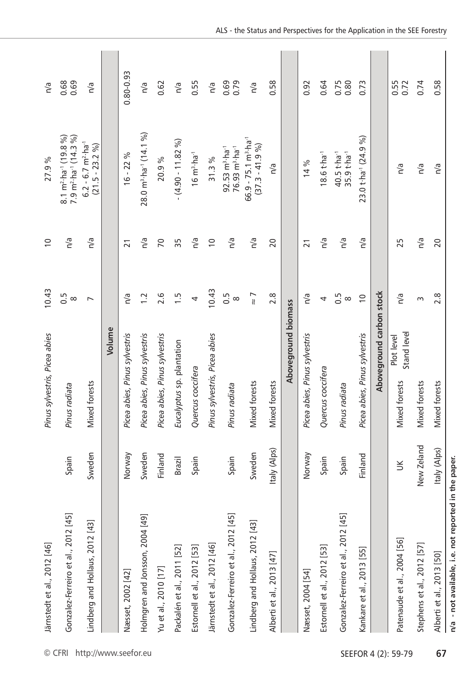|                      | Järnstedt et al., 2012 [46]                          |              | Pinus sylvestris, Picea abies              | 10.43                        | $\overline{0}$  | 27.9%                                                                                 | n/a          |  |
|----------------------|------------------------------------------------------|--------------|--------------------------------------------|------------------------------|-----------------|---------------------------------------------------------------------------------------|--------------|--|
| © CFRI               | Gonzalez-Ferreiro et al., 2012 [45]                  | Spain        | Pinus radiata                              | 0.5<br>$\infty$              | n/a             | $8.1 \text{ m}^2 \cdot \text{ha}^1 (19.8 \%)$<br>7.9 $m^2$ ·ha <sup>-1</sup> (14.3 %) | 0.68<br>0.69 |  |
| http://www.seefor.eu | Lindberg and Hollaus, 2012 [43]                      | Sweden       | Mixed forests                              | $\overline{ }$               | n/a             | $6.2 - 6.7$ m <sup>2</sup> ·ha <sup>-1</sup><br>$(21.5 - 23.2 %$                      | n/a          |  |
|                      |                                                      |              | Volume                                     |                              |                 |                                                                                       |              |  |
|                      | Næsset, 2002 [42]                                    | Norway       | Picea abies, Pinus sylvestris              | n/a                          | $\overline{21}$ | $16 - 22%$                                                                            | 0.80-0.93    |  |
|                      | Holmgren and Jonsson, 2004 [49]                      | Sweden       | Picea abies, Pinus sylvestris              | $\overline{1}$ .             | n/a             | $28.0 \text{ m}^3 \text{ ha}^1 (14.1 \text{ %})$                                      | n/a          |  |
|                      | Yu et al., 2010 [17]                                 | Finland      | Picea abies, Pinus sylvestris              | 2.6                          | $\overline{70}$ | 20.9%                                                                                 | 0.62         |  |
|                      | Packalén et al., 2011 [52]                           | Brazil       | Eucalyptus sp. plantation                  | $\frac{1}{1}$                | 35              | $- (4.90 - 11.82\%)$                                                                  | n/a          |  |
|                      | Estornell et al., 2012 [53]                          | Spain        | Quercus coccifera                          | 4                            | n/a             | $16 \text{ m}^3 \cdot \text{ha}^{-1}$                                                 | 0.55         |  |
|                      | Järnstedt et al., 2012 [46]                          |              | Pinus sylvestris, Picea abies              | 10.43                        | $\approx$       | 31.3%                                                                                 | n/a          |  |
|                      | Gonzalez-Ferreiro et al., 2012 [45]                  | Spain        | Pinus radiata                              | $0.\overline{5}$<br>$\infty$ | n/a             | 76.93 m <sup>3</sup> ·ha <sup>-1</sup><br>$92.53$ m <sup>3</sup> ·ha <sup>-1</sup>    | 0.69<br>0.79 |  |
|                      | Lindberg and Hollaus, 2012 [43]                      | Sweden       | Mixed forests                              | $\frac{7}{8}$                | n/a             | $66.9 - 75.1 \text{ m}^3 \text{ ha}^1$<br>$(37.3 - 41.9 %)$                           | n/a          |  |
|                      | Alberti et al., 2013 [47]                            | taly (Alps)  | Mixed forests                              | 2.8                          | 20              | n/a                                                                                   | 0.58         |  |
|                      |                                                      |              | Aboveground biomass                        |                              |                 |                                                                                       |              |  |
|                      | Næsset, 2004 [54]                                    | Norway       | Picea abies, Pinus sylvestris              | n/a                          | $\overline{21}$ | 14 %                                                                                  | 0.92         |  |
|                      | Estornell et al., 2012 [53]                          | Spain        | Quercus coccifera                          | 4                            | n/a             | $18.6 t h a^{-1}$                                                                     | 0.64         |  |
|                      | Gonzalez-Ferreiro et al., 2012 [45]                  | Spain        | Pinus radiata                              | 0.5<br>$\infty$              | n/a             | 40.5 t ha <sup>-1</sup><br>35.9 t·ha <sup>-1</sup>                                    | 0.75<br>0.80 |  |
|                      | Kankare et al., 2013 [55]                            | Finland      | Picea abies, Pinus sylvestris              | $\overline{C}$               | n/a             | 23.0 t ha <sup>-1</sup> (24.9 %)                                                      | 0.73         |  |
|                      |                                                      |              | Aboveground carbon stock                   |                              |                 |                                                                                       |              |  |
| SEEFOR 4 (2): 59-79  | Patenaude et al., 2004 [56]                          | š            | Stand level<br>Plot level<br>Mixed forests | n/a                          | 25              | n/a                                                                                   | 0.55<br>0.72 |  |
|                      | Stephens et al., 2012 [57]                           | New Zeland   | Mixed forests                              | S                            | n/a             | n/a                                                                                   | 0.74         |  |
| 67                   | Alberti et al., 2013 [50]                            | Italy (Alps) | Mixed forests                              | 2.8                          | 20              | n/a                                                                                   | 0.58         |  |
|                      | n/a - not available, i.e. not reported in the paper. |              |                                            |                              |                 |                                                                                       |              |  |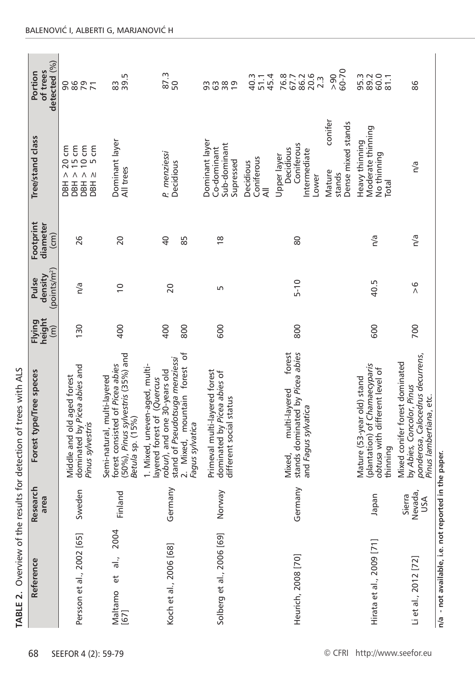| detected (%)<br>of trees<br>Portion          | 86<br>79<br>90                                                                 | Б<br>39.<br>83                                                                                                          | 87.3<br>50                                                                                                                                                                       | 3880                                                                                    | 45.4<br>40.3<br>51.1         | 86.2<br>20.6<br>76.8<br>67.7<br>$2.\overline{3}$                                            | 60-70<br>$\frac{8}{2}$                            | 60.0<br>95.3<br>89.2<br>81.1                                                                              | 86                                                                                                                         |                                                      |
|----------------------------------------------|--------------------------------------------------------------------------------|-------------------------------------------------------------------------------------------------------------------------|----------------------------------------------------------------------------------------------------------------------------------------------------------------------------------|-----------------------------------------------------------------------------------------|------------------------------|---------------------------------------------------------------------------------------------|---------------------------------------------------|-----------------------------------------------------------------------------------------------------------|----------------------------------------------------------------------------------------------------------------------------|------------------------------------------------------|
| Tree/stand class                             | $\wedge$ $\wedge$<br>$\wedge$<br>Λ<br>E E E E<br>B E E E E                     | Dominant layer<br>All trees                                                                                             | P. menziessi<br>Decidious                                                                                                                                                        | Dominant layer<br>Sub-dominant<br>Co-dominant<br>Supressed                              | Coniferous<br>Decidious<br>₹ | Coniferous<br>Decidious<br>Intermediate<br>Upper layer<br>Lower                             | conifer<br>Dense mixed stands<br>Mature<br>stands | Moderate thinning<br>Heavy thinning<br>No thinning<br>Total                                               | n/a                                                                                                                        |                                                      |
| Footprint<br>diameter<br>$\overline{cm}$     | 26                                                                             | 20                                                                                                                      | $\overline{a}$<br>85                                                                                                                                                             | $\frac{8}{1}$                                                                           |                              | 80                                                                                          |                                                   | n/a                                                                                                       | n/a                                                                                                                        |                                                      |
| (points/m <sup>2</sup> )<br>density<br>Pulse | n/a                                                                            | $\overline{0}$                                                                                                          | 20                                                                                                                                                                               | Б                                                                                       |                              | $5 - 10$                                                                                    |                                                   | 40.5                                                                                                      | $\frac{6}{1}$                                                                                                              |                                                      |
| height<br>Flying<br>$\widehat{(\mathsf{m})}$ | 130                                                                            | 400                                                                                                                     | 400<br>800                                                                                                                                                                       | 600                                                                                     |                              | 800                                                                                         |                                                   | 600                                                                                                       | 700                                                                                                                        |                                                      |
| Forest type/Tree speces                      | dominated by Picea abies and<br>Middle and old aged forest<br>Pinus sylvestris | (50%), Pinus sylvestris (35%) and<br>forest consisted of Picea abies<br>Semi-natural, multi-layered<br>Betula sp. (15%) | 2. Mixed, mountain forest of<br>stand of Pseudotsuga menziessi<br>1. Mixed, uneven-aged, multi-<br>robur), and one 30-years old<br>layered forest of (Quercus<br>Fagus sylvatica | Primeval multi-layered forest<br>dominated by Picea abies of<br>different social status |                              | stands dominated by Picea abies<br>forest<br>multi-layered<br>and Fagus sylvatica<br>Mixed, |                                                   | (plantation) of Chamaecyparis<br>obtusa with different level of<br>Mature (53-year old) stand<br>thinning | ponderosa, Calocedrus decurrens,<br>Mixed conifer forest dominated<br>by Abies, Concolor, Pinus<br>Pinus lambertiana, etc. |                                                      |
| Research<br>area                             | Sweden                                                                         | Finland                                                                                                                 | Germany                                                                                                                                                                          | Norway                                                                                  |                              | Germany                                                                                     |                                                   | an<br>gel                                                                                                 | Sierra<br>Nevada,<br>USA                                                                                                   |                                                      |
| Reference                                    | Persson et al., 2002 [65]                                                      | 2004<br>$\frac{1}{\sigma}$ .<br>ť<br>Maltamo<br>$[67]$                                                                  | Koch et al., 2006 [68]                                                                                                                                                           | Solberg et al., 2006 [69]                                                               |                              | Heurich, 2008 [70]                                                                          |                                                   | Hirata et al., 2009 [71]                                                                                  | Li et al., 2012 [72]                                                                                                       | n/a - not available, i.e. not reported in the paper. |
| 68                                           | SEEFOR 4 (2): 59-79                                                            |                                                                                                                         |                                                                                                                                                                                  |                                                                                         |                              |                                                                                             | © CFRI                                            | http://www.seefor.eu                                                                                      |                                                                                                                            |                                                      |

**TABLE 2.** Overview of the results for detection of trees with ALS

TABLE 2. Overview of the results for detection of trees with ALS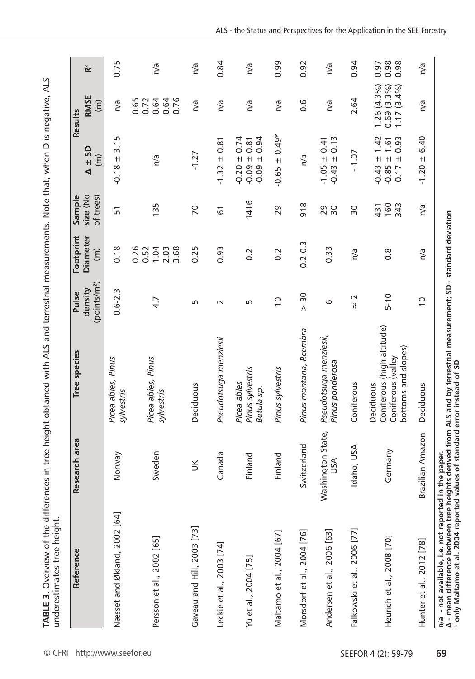| $\overline{\phantom{a}}$<br>tive, AL                                                                      |                           |
|-----------------------------------------------------------------------------------------------------------|---------------------------|
|                                                                                                           |                           |
|                                                                                                           |                           |
|                                                                                                           |                           |
|                                                                                                           |                           |
|                                                                                                           |                           |
|                                                                                                           |                           |
|                                                                                                           |                           |
|                                                                                                           |                           |
|                                                                                                           |                           |
|                                                                                                           |                           |
|                                                                                                           |                           |
|                                                                                                           |                           |
| a differences in tree height obtained with ALS and terrestrial measurements. Note that, when D is negatig |                           |
|                                                                                                           |                           |
|                                                                                                           |                           |
|                                                                                                           |                           |
|                                                                                                           |                           |
|                                                                                                           | j<br>ŧ<br>ī<br>١<br>١     |
|                                                                                                           | l                         |
|                                                                                                           | $\ddot{\phantom{a}}$<br>į |
|                                                                                                           | l<br>l<br>֦֚֘֝֓           |
| )<br> <br>                                                                                                | í<br>ׇ֘֝֬֝                |

| Reference                    | Research area            | Tree species                                                                         | $($ points/m <sup>2</sup> $)$<br>density<br>Pulse | Footprint<br><b>Diameter</b><br>$\widehat{(\mathsf{m})}$ | size (No<br>of trees)<br>Sample | <b>GS</b><br>$\widehat{(\mathsf{m})}$<br>$+1$<br>◀                          | <b>RMSE</b><br>$\widehat{(\mathsf{m})}$<br>Results      |  |
|------------------------------|--------------------------|--------------------------------------------------------------------------------------|---------------------------------------------------|----------------------------------------------------------|---------------------------------|-----------------------------------------------------------------------------|---------------------------------------------------------|--|
| Næsset and Økland, 2002 [64] | Norway                   | Picea abies, Pinus<br>sylvestris                                                     | $0.6 - 2.3$                                       | 0.18                                                     | $\overline{5}$                  | Б<br>$\frac{1}{2}$<br>$+1$<br>$-0.18$                                       | n/a                                                     |  |
| Persson et al., 2002 [65]    | Sweden                   | Picea abies, Pinus<br>sylvestris                                                     | 4.7                                               | 0.26<br>1.04<br>2.03<br>3.68<br>0.52                     | 135                             | n/a                                                                         | 0.65<br>0.72<br>0.64<br>0.76<br>0.64                    |  |
| Gaveau and Hill, 2003 [73]   | $\leq$                   | Deciduous                                                                            | S                                                 | 0.25                                                     | $\overline{70}$                 | $-1.27$                                                                     | n/a                                                     |  |
| Leckie et al., 2003 [74]     | Canada                   | Pseudotsuga menziesii                                                                | $\sim$                                            | 0.93                                                     | 61                              | 0.81<br>$+$<br>$-1.32$                                                      | n/a                                                     |  |
| Yu et al., 2004 [75]         | Finland                  | Pinus sylvestris<br>Picea abies<br>Betula sp.                                        | Б                                                 | $0.\overline{2}$                                         | 1416                            | 0.74<br>0.94<br>0.81<br>$+1$ +1<br>$\bf +$<br>$-0.20$<br>$-0.09$<br>$-0.09$ | n/a                                                     |  |
| Maltamo et al., 2004 [67]    | Finland                  | Pinus sylvestris                                                                     | $\overline{0}$                                    | 0.2                                                      | 29                              | $+ 0.49*$<br>$-0.65$                                                        | n/a                                                     |  |
| Morsdorf et al., 2004 [76]   | Switzerland              | Pinus montana, P.cembra                                                              | 30<br>$\wedge$                                    | $0.2 - 0.3$                                              | 918                             | n/a                                                                         | 0.6                                                     |  |
| Andersen et al., 2006 [63]   | Washington State,<br>λsυ | Pseudotsuga menziesii,<br>Pinus ponderosa                                            | 6                                                 | 0.33                                                     | 29<br>30                        | $\pm 0.13$<br>0.41<br>$+1$<br>$-1.05$<br>$-0.43$                            | n/a                                                     |  |
| Falkowski et al., 2006 [77]  | Idaho, USA               | Coniferous                                                                           | $\sim$<br>$\mathcal U$                            | n/a                                                      | $\overline{50}$                 | $-1.07$                                                                     | 2.64                                                    |  |
| Heurich et al., 2008 [70]    | Germany                  | Coniferous (high altitude)<br>bottoms and slopes)<br>Coniferous (valley<br>Deciduous | $5 - 10$                                          | $\frac{8}{2}$                                            | 160<br>343<br>431               | 0.93<br>1.42<br>1.61<br>$+1$ +1<br>$+1$<br>$-0.43$<br>$-0.85$<br>0.17       | $1.26(4.3\%)$<br>$0.69$ (3.3%)<br>1.17 (3.4%)<br>(3.4%) |  |
| Hunter et al., 2012 [78]     | Brazilian Amazon         | Deciduous                                                                            | $\overline{0}$                                    | n/a                                                      | n/a                             | 6.40<br>$+1$<br>$-1.20$                                                     | n/a                                                     |  |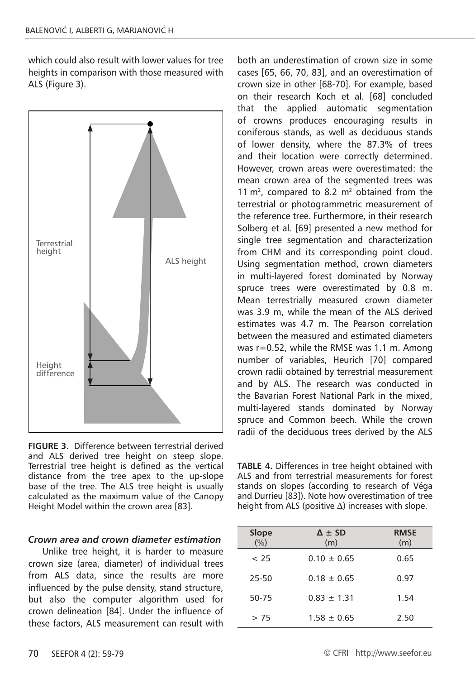which could also result with lower values for tree heights in comparison with those measured with ALS (Figure 3).



**FIGURE 3.** Difference between terrestrial derived and ALS derived tree height on steep slope. Terrestrial tree height is defined as the vertical distance from the tree apex to the up-slope base of the tree. The ALS tree height is usually calculated as the maximum value of the Canopy Height Model within the crown area [83].

#### *Crown area and crown diameter estimation*

Unlike tree height, it is harder to measure crown size (area, diameter) of individual trees from ALS data, since the results are more influenced by the pulse density, stand structure, but also the computer algorithm used for crown delineation [84]. Under the influence of these factors, ALS measurement can result with

both an underestimation of crown size in some cases [65, 66, 70, 83], and an overestimation of crown size in other [68-70]. For example, based on their research Koch et al. [68] concluded that the applied automatic segmentation of crowns produces encouraging results in coniferous stands, as well as deciduous stands of lower density, where the 87.3% of trees and their location were correctly determined. However, crown areas were overestimated: the mean crown area of the segmented trees was 11  $m<sup>2</sup>$ , compared to 8.2  $m<sup>2</sup>$  obtained from the terrestrial or photogrammetric measurement of the reference tree. Furthermore, in their research Solberg et al. [69] presented a new method for single tree segmentation and characterization from CHM and its corresponding point cloud. Using segmentation method, crown diameters in multi-layered forest dominated by Norway spruce trees were overestimated by 0.8 m. Mean terrestrially measured crown diameter was 3.9 m, while the mean of the ALS derived estimates was 4.7 m. The Pearson correlation between the measured and estimated diameters was r=0.52, while the RMSE was 1.1 m. Among number of variables, Heurich [70] compared crown radii obtained by terrestrial measurement and by ALS. The research was conducted in the Bavarian Forest National Park in the mixed, multi-layered stands dominated by Norway spruce and Common beech. While the crown radii of the deciduous trees derived by the ALS

**TABLE 4.** Differences in tree height obtained with ALS and from terrestrial measurements for forest stands on slopes (according to research of Véga and Durrieu [83]). Note how overestimation of tree height from ALS (positive  $\Delta$ ) increases with slope.

| Slope<br>(%) | $\Delta \pm SD$<br>(m) | <b>RMSE</b><br>(m) |
|--------------|------------------------|--------------------|
| < 25         | $0.10 + 0.65$          | 0.65               |
| 25-50        | $0.18 + 0.65$          | 0.97               |
| 50-75        | $0.83 + 1.31$          | 1.54               |
| > 75         | $1.58 + 0.65$          | 2.50               |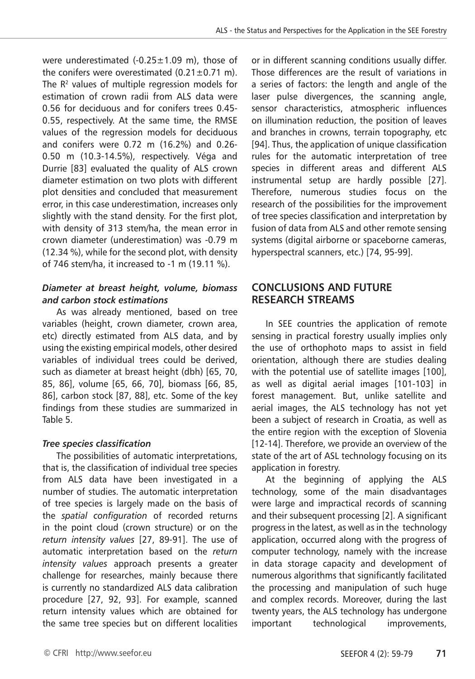were underestimated  $(-0.25 \pm 1.09 \text{ m})$ , those of the conifers were overestimated  $(0.21 \pm 0.71 \text{ m})$ . The  $R<sup>2</sup>$  values of multiple regression models for estimation of crown radii from ALS data were 0.56 for deciduous and for conifers trees 0.45- 0.55, respectively. At the same time, the RMSE values of the regression models for deciduous and conifers were 0.72 m (16.2%) and 0.26- 0.50 m (10.3-14.5%), respectively. Véga and Durrie [83] evaluated the quality of ALS crown diameter estimation on two plots with different plot densities and concluded that measurement error, in this case underestimation, increases only slightly with the stand density. For the first plot, with density of 313 stem/ha, the mean error in crown diameter (underestimation) was -0.79 m (12.34 %), while for the second plot, with density of 746 stem/ha, it increased to -1 m (19.11 %).

## *Diameter at breast height, volume, biomass and carbon stock estimations*

As was already mentioned, based on tree variables (height, crown diameter, crown area, etc) directly estimated from ALS data, and by using the existing empirical models, other desired variables of individual trees could be derived, such as diameter at breast height (dbh) [65, 70, 85, 86], volume [65, 66, 70], biomass [66, 85, 86], carbon stock [87, 88], etc. Some of the key findings from these studies are summarized in Table 5.

## *Tree species classification*

The possibilities of automatic interpretations, that is, the classification of individual tree species from ALS data have been investigated in a number of studies. The automatic interpretation of tree species is largely made on the basis of the *spatial configuration* of recorded returns in the point cloud (crown structure) or on the *return intensity values* [27, 89-91]. The use of automatic interpretation based on the *return intensity values* approach presents a greater challenge for researches, mainly because there is currently no standardized ALS data calibration procedure [27, 92, 93]. For example, scanned return intensity values which are obtained for the same tree species but on different localities

or in different scanning conditions usually differ. Those differences are the result of variations in a series of factors: the length and angle of the laser pulse divergences, the scanning angle, sensor characteristics, atmospheric influences on illumination reduction, the position of leaves and branches in crowns, terrain topography, etc [94]. Thus, the application of unique classification rules for the automatic interpretation of tree species in different areas and different ALS instrumental setup are hardly possible [27]. Therefore, numerous studies focus on the research of the possibilities for the improvement of tree species classification and interpretation by fusion of data from ALS and other remote sensing systems (digital airborne or spaceborne cameras, hyperspectral scanners, etc.) [74, 95-99].

## **CONCLUSIONS AND FUTURE RESEARCH STREAMS**

In SEE countries the application of remote sensing in practical forestry usually implies only the use of orthophoto maps to assist in field orientation, although there are studies dealing with the potential use of satellite images [100], as well as digital aerial images [101-103] in forest management. But, unlike satellite and aerial images, the ALS technology has not yet been a subject of research in Croatia, as well as the entire region with the exception of Slovenia [12-14]. Therefore, we provide an overview of the state of the art of ASL technology focusing on its application in forestry.

At the beginning of applying the ALS technology, some of the main disadvantages were large and impractical records of scanning and their subsequent processing [2]. A significant progress in the latest, as well as in the technology application, occurred along with the progress of computer technology, namely with the increase in data storage capacity and development of numerous algorithms that significantly facilitated the processing and manipulation of such huge and complex records. Moreover, during the last twenty years, the ALS technology has undergone important technological improvements,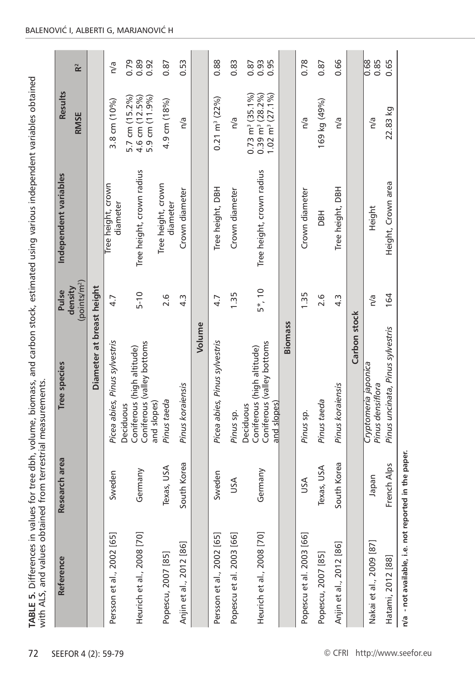| i<br>j<br>こうそうしょう こうこうこうこく<br>)<br>2<br>1<br>1                                                                                                                                                                                      |                                               |
|-------------------------------------------------------------------------------------------------------------------------------------------------------------------------------------------------------------------------------------|-----------------------------------------------|
| in the phone form in the season of the season of the season of the season of the season of the season of the season of the season of the season of the season of the season of the season of the season of the season of the s<br>1 |                                               |
| values for tree dbh, volume, biomass, and carbon stock, estimated using various independ.                                                                                                                                           |                                               |
| strategies of the contract of the contract of the contract of the contract of the contract of the contract of the contract of the contract of the contract of the contract of the contract of the contract of the contract of       |                                               |
|                                                                                                                                                                                                                                     |                                               |
|                                                                                                                                                                                                                                     | ֝<br>׆<br>$\frac{2}{3}$                       |
|                                                                                                                                                                                                                                     |                                               |
|                                                                                                                                                                                                                                     | --- not trom torrortrial mo-<br>$\frac{1}{2}$ |
|                                                                                                                                                                                                                                     |                                               |
| j<br>$\mathbf{r}$                                                                                                                                                                                                                   |                                               |
| ļ<br>֕                                                                                                                                                                                                                              | I                                             |

| Reference                 | Research area    | Tree species                                                                         | (points/m <sup>2</sup> )<br>density<br>Pulse | Independent variables          | <b>Results</b><br><b>RMSE</b>                                                               |                      |
|---------------------------|------------------|--------------------------------------------------------------------------------------|----------------------------------------------|--------------------------------|---------------------------------------------------------------------------------------------|----------------------|
|                           |                  | Diameter at breast height                                                            |                                              |                                |                                                                                             |                      |
| Persson et al., 2002 [65] | Sweden           | Picea abies, Pinus sylvestris                                                        | 4.7                                          | Tree height, crown<br>diameter | $3.8$ cm $(10\%)$                                                                           | n/a                  |
| Heurich et al., 2008 [70] | Germany          | Coniferous (valley bottoms<br>Coniferous (high altitude)<br>and slopes)<br>Deciduous | $5 - 10$                                     | Tree height, crown radius      | 5.7 cm (15.2%)<br>4.6 cm (12.5%)<br>5.9 cm (11.9%)                                          | 0.79<br>0.89<br>0.92 |
| Popescu, 2007 [85]        | Texas, USA       | Pinus taeda                                                                          | 2.6                                          | Tree height, crown<br>diameter | 4.9 cm (18%)                                                                                | 0.87                 |
| Anjin et al., 2012 [86]   | th Korea<br>Sout | Pinus koraiensis                                                                     | 4.3                                          | Crown diameter                 | n/a                                                                                         | 0.53                 |
|                           |                  | Volume                                                                               |                                              |                                |                                                                                             |                      |
| Persson et al., 2002 [65] | Sweden           | Picea abies, Pinus sylvestris                                                        | 4.7                                          | Tree height, DBH               | $0.21 \text{ m}^3 (22\%)$                                                                   | 0.88                 |
| Popescu et al. 2003 [66]  | JSA              | Pinus sp.                                                                            | 1.35                                         | Crown diameter                 | n/a                                                                                         | 0.83                 |
| Heurich et al., 2008 [70] | Germany          | Coniferous (valley bottoms<br>Coniferous (high altitude)<br>and slopes)<br>Deciduous | $5*, 10$                                     | Tree height, crown radius      | $1.02 \text{ m}^3 (27.1\%)$<br>$0.73 \text{ m}^3 \ (35.1\% )$<br>$0.39 \text{ m}^3 (28.2\%$ | 0.95<br>0.93<br>0.87 |
|                           |                  | <b>Biomass</b>                                                                       |                                              |                                |                                                                                             |                      |
| Popescu et al. 2003 [66]  | USA              | Pinus sp.                                                                            | 1.35                                         | Crown diameter                 | n/a                                                                                         | 0.78                 |
| Popescu, 2007 [85]        | Texas, USA       | Pinus taeda                                                                          | 2.6                                          | <b>HaC</b>                     | 169 kg (49%)                                                                                | 0.87                 |
| Anjin et al., 2012 [86]   | South Korea      | Pinus koraiensis                                                                     | 4.3                                          | <b>DBH</b><br>Tree height,     | n/a                                                                                         | 0.66                 |
|                           |                  | Carbon stock                                                                         |                                              |                                |                                                                                             |                      |
| Nakai et al., 2009 [87]   | napan            | Cryptomeria japonica<br>Pinus densiflora                                             | n/a                                          | Height                         | n/a                                                                                         | 0.68<br>0.85         |
| Hatami, 2012 [88]         | ch Alps<br>Fren  | Pinus uncinata, Pinus sylvestris                                                     | 164                                          | Height, Crown area             | 22.83 kg                                                                                    | 0.65                 |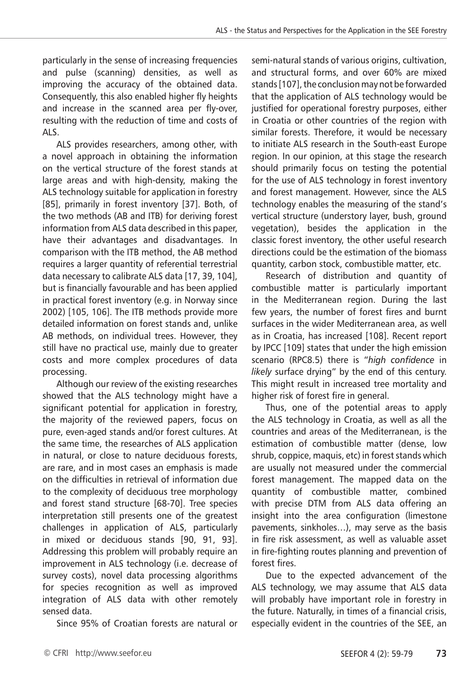particularly in the sense of increasing frequencies and pulse (scanning) densities, as well as improving the accuracy of the obtained data. Consequently, this also enabled higher fly heights and increase in the scanned area per fly-over, resulting with the reduction of time and costs of ALS.

ALS provides researchers, among other, with a novel approach in obtaining the information on the vertical structure of the forest stands at large areas and with high-density, making the ALS technology suitable for application in forestry [85], primarily in forest inventory [37]. Both, of the two methods (AB and ITB) for deriving forest information from ALS data described in this paper, have their advantages and disadvantages. In comparison with the ITB method, the AB method requires a larger quantity of referential terrestrial data necessary to calibrate ALS data [17, 39, 104], but is financially favourable and has been applied in practical forest inventory (e.g. in Norway since 2002) [105, 106]. The ITB methods provide more detailed information on forest stands and, unlike AB methods, on individual trees. However, they still have no practical use, mainly due to greater costs and more complex procedures of data processing.

Although our review of the existing researches showed that the ALS technology might have a significant potential for application in forestry, the majority of the reviewed papers, focus on pure, even-aged stands and/or forest cultures. At the same time, the researches of ALS application in natural, or close to nature deciduous forests, are rare, and in most cases an emphasis is made on the difficulties in retrieval of information due to the complexity of deciduous tree morphology and forest stand structure [68-70]. Tree species interpretation still presents one of the greatest challenges in application of ALS, particularly in mixed or deciduous stands [90, 91, 93]. Addressing this problem will probably require an improvement in ALS technology (i.e. decrease of survey costs), novel data processing algorithms for species recognition as well as improved integration of ALS data with other remotely sensed data.

Since 95% of Croatian forests are natural or

semi-natural stands of various origins, cultivation, and structural forms, and over 60% are mixed stands [107], the conclusion may not be forwarded that the application of ALS technology would be justified for operational forestry purposes, either in Croatia or other countries of the region with similar forests. Therefore, it would be necessary to initiate ALS research in the South-east Europe region. In our opinion, at this stage the research should primarily focus on testing the potential for the use of ALS technology in forest inventory and forest management. However, since the ALS technology enables the measuring of the stand's vertical structure (understory layer, bush, ground vegetation), besides the application in the classic forest inventory, the other useful research directions could be the estimation of the biomass quantity, carbon stock, combustible matter, etc.

Research of distribution and quantity of combustible matter is particularly important in the Mediterranean region. During the last few years, the number of forest fires and burnt surfaces in the wider Mediterranean area, as well as in Croatia, has increased [108]. Recent report by IPCC [109] states that under the high emission scenario (RPC8.5) there is "*high confidence* in *likely* surface drying" by the end of this century. This might result in increased tree mortality and higher risk of forest fire in general.

Thus, one of the potential areas to apply the ALS technology in Croatia, as well as all the countries and areas of the Mediterranean, is the estimation of combustible matter (dense, low shrub, coppice, maquis, etc) in forest stands which are usually not measured under the commercial forest management. The mapped data on the quantity of combustible matter, combined with precise DTM from ALS data offering an insight into the area configuration (limestone pavements, sinkholes…), may serve as the basis in fire risk assessment, as well as valuable asset in fire-fighting routes planning and prevention of forest fires.

Due to the expected advancement of the ALS technology, we may assume that ALS data will probably have important role in forestry in the future. Naturally, in times of a financial crisis, especially evident in the countries of the SEE, an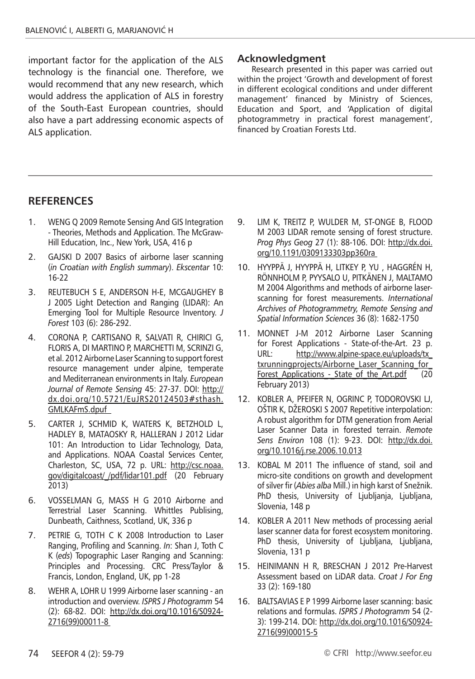important factor for the application of the ALS technology is the financial one. Therefore, we would recommend that any new research, which would address the application of ALS in forestry of the South-East European countries, should also have a part addressing economic aspects of ALS application.

## **Acknowledgment**

Research presented in this paper was carried out within the project 'Growth and development of forest in different ecological conditions and under different management' financed by Ministry of Sciences, Education and Sport, and 'Application of digital photogrammetry in practical forest management', financed by Croatian Forests Ltd.

## **RefereNces**

- 1. WENG Q 2009 Remote Sensing And GIS Integration - Theories, Methods and Application. The McGraw-Hill Education, Inc., New York, USA, 416 p
- 2. GAJSKI D 2007 Basics of airborne laser scanning (*in Croatian with English summary*). *Ekscentar* 10: 16-22
- 3. REUTEBUCH S E, ANDERSON H-E, MCGAUGHEY B J 2005 Light Detection and Ranging (LIDAR): An Emerging Tool for Multiple Resource Inventory. *J Forest* 103 (6): 286-292.
- 4. CORONA P, CARTISANO R, SALVATI R, CHIRICI G, FLORIS A, DI MARTINO P, MARCHETTI M, SCRINZI G, et al. 2012 Airborne Laser Scanning to support forest resource management under alpine, temperate and Mediterranean environments in Italy. *European Journal of Remote Sensing* 45: 27-37. DOI: http:// dx.doi.org/10.5721/EuJRS20124503#sthash. GMLKAFmS.dpuf
- 5. CARTER J, SCHMID K, WATERS K, BETZHOLD L, HADLEY B, MATAOSKY R, HALLERAN J 2012 Lidar 101: An Introduction to Lidar Technology, Data, and Applications. NOAA Coastal Services Center, Charleston, SC, USA, 72 p. URL: http://csc.noaa. gov/digitalcoast/\_/pdf/lidar101.pdf (20 February 2013)
- 6. VOSSELMAN G, MASS H G 2010 Airborne and Terrestrial Laser Scanning. Whittles Publising, Dunbeath, Caithness, Scotland, UK, 336 p
- 7. PETRIE G, TOTH C K 2008 Introduction to Laser Ranging, Profiling and Scanning. *In*: Shan J, Toth C K (*eds*) Topographic Laser Ranging and Scanning: Principles and Processing. CRC Press/Taylor & Francis, London, England, UK, pp 1-28
- 8. WEHR A, LOHR U 1999 Airborne laser scanning an introduction and overview. *ISPRS J Photogramm* 54 (2): 68-82. DOI: http://dx.doi.org/10.1016/S0924- 2716(99)00011-8
- 9. LIM K, TREITZ P, WULDER M, ST-ONGE B, FLOOD M 2003 LIDAR remote sensing of forest structure. *Prog Phys Geog* 27 (1): 88-106. DOI: http://dx.doi. org/10.1191/0309133303pp360ra
- 10. HYYPPÄ J, HYYPPÄ H, LITKEY P, YU , HAGGRÉN H, RÖNNHOLM P, PYYSALO U, PITKÄNEN J, MALTAMO M 2004 Algorithms and methods of airborne laserscanning for forest measurements. *International Archives of Photogrammetry, Remote Sensing and Spatial Information Sciences* 36 (8): 1682-1750
- 11. MONNET J-M 2012 Airborne Laser Scanning for Forest Applications - State-of-the-Art. 23 p. URL: http://www.alpine-space.eu/uploads/tx\_ txrunningprojects/Airborne\_Laser\_Scanning\_for Forest Applications - State of the Art.pdf (20 February 2013)
- 12. KOBLER A, PFEIFER N, OGRINC P, TODOROVSKI LJ, OŠTIR K, DŽEROSKI S 2007 Repetitive interpolation: A robust algorithm for DTM generation from Aerial Laser Scanner Data in forested terrain. *Remote Sens Environ* 108 (1): 9-23. DOI: http://dx.doi. org/10.1016/j.rse.2006.10.013
- 13. KOBAL M 2011 The influence of stand, soil and micro-site conditions on growth and development of silver fir (*Abies alba* Mill.) in high karst of Snežnik. PhD thesis, University of Ljubljanja, Ljubljana, Slovenia, 148 p
- 14. KOBLER A 2011 New methods of processing aerial laser scanner data for forest ecosystem monitoring. PhD thesis, University of Ljubljana, Ljubljana, Slovenia, 131 p
- 15. HEINIMANN H R, BRESCHAN J 2012 Pre-Harvest Assessment based on LiDAR data. *Croat J For Eng* 33 (2): 169-180
- 16. BALTSAVIAS E P 1999 Airborne laser scanning: basic relations and formulas. *ISPRS J Photogramm* 54 (2- 3): 199-214. DOI: http://dx.doi.org/10.1016/S0924- 2716(99)00015-5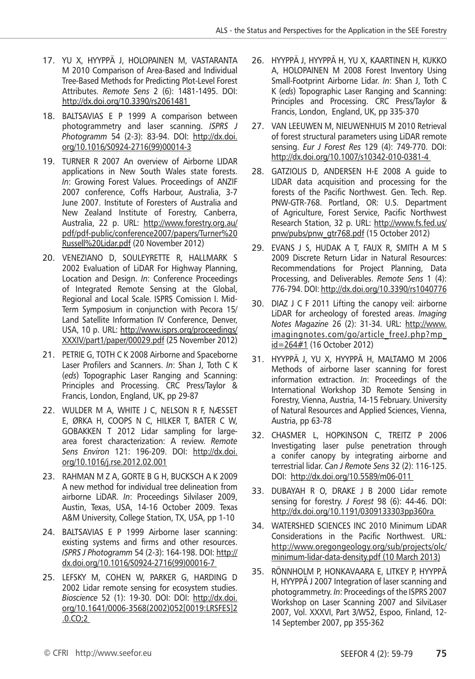- 17. YU X, HYYPPÄ J, HOLOPAINEN M, VASTARANTA M 2010 Comparison of Area-Based and Individual Tree-Based Methods for Predicting Plot-Level Forest Attributes. *Remote Sens* 2 (6): 1481-1495. DOI: http://dx.doi.org/10.3390/rs2061481
- 18. BALTSAVIAS E P 1999 A comparison between photogrammetry and laser scanning. *ISPRS J Photogramm* 54 (2-3): 83-94. DOI: http://dx.doi. org/10.1016/S0924-2716(99)00014-3
- 19. TURNER R 2007 An overview of Airborne LIDAR applications in New South Wales state forests. *In*: Growing Forest Values. Proceedings of ANZIF 2007 conference, Coffs Harbour, Australia, 3-7 June 2007. Institute of Foresters of Australia and New Zealand Institute of Forestry, Canberra, Australia, 22 p. URL: http://www.forestry.org.au/ pdf/pdf-public/conference2007/papers/Turner%20 Russell%20Lidar.pdf (20 November 2012)
- 20. VENEZIANO D, SOULEYRETTE R, HALLMARK S 2002 Evaluation of LiDAR For Highway Planning, Location and Design. *In*: Conference Proceedings of Integrated Remote Sensing at the Global, Regional and Local Scale. ISPRS Comission I. Mid-Term Symposium in conjunction with Pecora 15/ Land Satellite Information IV Conference, Denver, USA, 10 p. URL: http://www.isprs.org/proceedings/ XXXIV/part1/paper/00029.pdf (25 November 2012)
- 21. PETRIE G, TOTH C K 2008 Airborne and Spaceborne Laser Profilers and Scanners. *In*: Shan J, Toth C K (*eds*) Topographic Laser Ranging and Scanning: Principles and Processing. CRC Press/Taylor & Francis, London, England, UK, pp 29-87
- 22. WULDER M A, WHITE J C, NELSON R F, NÆSSET E, ØRKA H, COOPS N C, HILKER T, BATER C W, GOBAKKEN T 2012 Lidar sampling for largearea forest characterization: A review. *Remote Sens Environ* 121: 196-209. DOI: http://dx.doi. org/10.1016/j.rse.2012.02.001
- 23. RAHMAN M Z A, GORTE B G H, BUCKSCH A K 2009 A new method for individual tree delineation from airborne LiDAR. *In*: Proceedings Silvilaser 2009, Austin, Texas, USA, 14-16 October 2009. Texas A&M University, College Station, TX, USA, pp 1-10
- 24. BALTSAVIAS E P 1999 Airborne laser scanning: existing systems and firms and other resources. *ISPRS J Photogramm* 54 (2-3): 164-198. DOI: http:// dx.doi.org/10.1016/S0924-2716(99)00016-7
- 25. LEFSKY M, COHEN W, PARKER G, HARDING D 2002 Lidar remote sensing for ecosystem studies. *Bioscience* 52 (1): 19-30. DOI: DOI: http://dx.doi. org/10.1641/0006-3568(2002)052[0019:LRSFES]2 .0.CO;2
- 26. HYYPPÄ J, HYYPPÄ H, YU X, KAARTINEN H, KUKKO A, HOLOPAINEN M 2008 Forest Inventory Using Small-Footprint Airborne Lidar. *In*: Shan J, Toth C K (*eds*) Topographic Laser Ranging and Scanning: Principles and Processing. CRC Press/Taylor & Francis, London, England, UK, pp 335-370
- 27. VAN LEEUWEN M, NIEUWENHUIS M 2010 Retrieval of forest structural parameters using LiDAR remote sensing. *Eur J Forest Res* 129 (4): 749-770. DOI: http://dx.doi.org/10.1007/s10342-010-0381-4
- 28. GATZIOLIS D, ANDERSEN H-E 2008 A guide to LIDAR data acquisition and processing for the forests of the Pacific Northwest. Gen. Tech. Rep. PNW-GTR-768. Portland, OR: U.S. Department of Agriculture, Forest Service, Pacific Northwest Research Station, 32 p. URL: http://www.fs.fed.us/ pnw/pubs/pnw\_gtr768.pdf (15 October 2012)
- 29. EVANS J S, HUDAK A T, FAUX R, SMITH A M S 2009 Discrete Return Lidar in Natural Resources: Recommendations for Project Planning, Data Processing, and Deliverables. *Remote Sens* 1 (4): 776-794. DOI: http://dx.doi.org/10.3390/rs1040776
- 30. DIAZ J C F 2011 Lifting the canopy veil: airborne LiDAR for archeology of forested areas. *Imaging Notes Magazine* 26 (2): 31-34. URL: http://www. imagingnotes.com/go/article\_freeJ.php?mp\_ id=264#1 (16 October 2012)
- 31. HYYPPÄ J, YU X, HYYPPÄ H, MALTAMO M 2006 Methods of airborne laser scanning for forest information extraction. *In*: Proceedings of the International Workshop 3D Remote Sensing in Forestry, Vienna, Austria, 14-15 February. University of Natural Resources and Applied Sciences, Vienna, Austria, pp 63-78
- 32. CHASMER L, HOPKINSON C, TREITZ P 2006 Investigating laser pulse penetration through a conifer canopy by integrating airborne and terrestrial lidar. *Can J Remote Sens* 32 (2): 116-125. DOI: http://dx.doi.org/10.5589/m06-011
- 33. DUBAYAH R O, DRAKE J B 2000 Lidar remote sensing for forestry. *J Forest* 98 (6): 44-46. DOI: http://dx.doi.org/10.1191/0309133303pp360ra
- 34. WATERSHED SCIENCES INC 2010 Minimum LiDAR Considerations in the Pacific Northwest. URL: http://www.oregongeology.org/sub/projects/olc/ minimum-lidar-data-density.pdf (10 March 2013)
- 35. RÖNNHOLM P, HONKAVAARA E, LITKEY P, HYYPPÄ H, HYYPPÄ J 2007 Integration of laser scanning and photogrammetry. *In*: Proceedings of the ISPRS 2007 Workshop on Laser Scanning 2007 and SilviLaser 2007, Vol. XXXVI, Part 3/W52, Espoo, Finland, 12- 14 September 2007, pp 355-362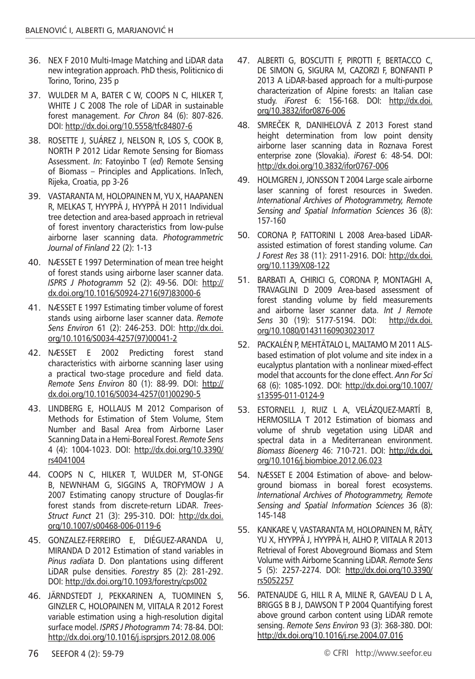- 36. NEX F 2010 Multi-Image Matching and LiDAR data new integration approach. PhD thesis, Politicnico di Torino, Torino, 235 p
- 37. WULDER M A, BATER C W, COOPS N C, HILKER T, WHITE J C 2008 The role of LiDAR in sustainable forest management. *For Chron* 84 (6): 807-826. DOI: http://dx.doi.org/10.5558/tfc84807-6
- 38. ROSETTE J, SUÁREZ J, NELSON R, LOS S, COOK B, NORTH P 2012 Lidar Remote Sensing for Biomass Assessment. *In*: Fatoyinbo T (*ed*) Remote Sensing of Biomass – Principles and Applications. InTech, Rijeka, Croatia, pp 3-26
- 39. VASTARANTA M, HOLOPAINEN M, YU X, HAAPANEN R, MELKAS T, HYYPPÄ J, HYYPPÄ H 2011 Individual tree detection and area-based approach in retrieval of forest inventory characteristics from low-pulse airborne laser scanning data. *Photogrammetric Journal of Finland* 22 (2): 1-13
- 40. NÆSSET E 1997 Determination of mean tree height of forest stands using airborne laser scanner data. *ISPRS J Photogramm* 52 (2): 49-56. DOI: http:// dx.doi.org/10.1016/S0924-2716(97)83000-6
- 41. NÆSSET E 1997 Estimating timber volume of forest stands using airborne laser scanner data. *Remote Sens Environ* 61 (2): 246-253. DOI: http://dx.doi. org/10.1016/S0034-4257(97)00041-2
- 42. NÆSSET E 2002 Predicting forest stand characteristics with airborne scanning laser using a practical two-stage procedure and field data. *Remote Sens Environ* 80 (1): 88-99. DOI: http:// dx.doi.org/10.1016/S0034-4257(01)00290-5
- 43. LINDBERG E, HOLLAUS M 2012 Comparison of Methods for Estimation of Stem Volume, Stem Number and Basal Area from Airborne Laser Scanning Data in a Hemi-Boreal Forest. *Remote Sens* 4 (4): 1004-1023. DOI: http://dx.doi.org/10.3390/ rs4041004
- 44. COOPS N C, HILKER T, WULDER M, ST-ONGE B, NEWNHAM G, SIGGINS A, TROFYMOW J A 2007 Estimating canopy structure of Douglas-fir forest stands from discrete-return LiDAR. *Trees-Struct Funct* 21 (3): 295-310. DOI: http://dx.doi. org/10.1007/s00468-006-0119-6
- 45. GONZALEZ-FERREIRO E, DIÉGUEZ-ARANDA U, MIRANDA D 2012 Estimation of stand variables in *Pinus radiata* D. Don plantations using different LiDAR pulse densities. *Forestry* 85 (2): 281-292. DOI: http://dx.doi.org/10.1093/forestry/cps002
- 46. JÄRNDSTEDT J, PEKKARINEN A, TUOMINEN S, GINZLER C, HOLOPAINEN M, VIITALA R 2012 Forest variable estimation using a high-resolution digital surface model. *ISPRS J Photogramm* 74: 78-84. DOI: http://dx.doi.org/10.1016/j.isprsjprs.2012.08.006
- 47. ALBERTI G, BOSCUTTI F, PIROTTI F, BERTACCO C, DE SIMON G, SIGURA M, CAZORZI F, BONFANTI P 2013 A LiDAR-based approach for a multi-purpose characterization of Alpine forests: an Italian case study. *iForest* 6: 156-168. DOI: http://dx.doi. org/10.3832/ifor0876-006
- 48. SMREČEK R, DANIHELOVÁ Z 2013 Forest stand height determination from low point density airborne laser scanning data in Roznava Forest enterprise zone (Slovakia). *iForest* 6: 48-54. DOI: http://dx.doi.org/10.3832/ifor0767-006
- 49. HOLMGREN J, JONSSON T 2004 Large scale airborne laser scanning of forest resources in Sweden. *International Archives of Photogrammetry, Remote Sensing and Spatial Information Sciences* 36 (8): 157-160
- 50. CORONA P, FATTORINI L 2008 Area-based LiDARassisted estimation of forest standing volume. *Can J Forest Res* 38 (11): 2911-2916. DOI: http://dx.doi. org/10.1139/X08-122
- 51. BARBATI A, CHIRICI G, CORONA P, MONTAGHI A, TRAVAGLINI D 2009 Area-based assessment of forest standing volume by field measurements and airborne laser scanner data. *Int J Remote Sens* 30 (19): 5177-5194. DOI: http://dx.doi. org/10.1080/01431160903023017
- 52. PACKALÉN P, MEHTÄTALO L, MALTAMO M 2011 ALSbased estimation of plot volume and site index in a eucalyptus plantation with a nonlinear mixed-effect model that accounts for the clone effect. *Ann For Sci* 68 (6): 1085-1092. DOI: http://dx.doi.org/10.1007/ s13595-011-0124-9
- 53. ESTORNELL J, RUIZ L A, VELÁZQUEZ-MARTÍ B, HERMOSILLA T 2012 Estimation of biomass and volume of shrub vegetation using LiDAR and spectral data in a Mediterranean environment. *Biomass Bioenerg* 46: 710-721. DOI: http://dx.doi. org/10.1016/j.biombioe.2012.06.023
- 54. NÆSSET E 2004 Estimation of above- and belowground biomass in boreal forest ecosystems. *International Archives of Photogrammetry, Remote Sensing and Spatial Information Sciences* 36 (8): 145-148
- 55. KANKARE V, VASTARANTA M, HOLOPAINEN M, RÄTY, YU X, HYYPPÄ J, HYYPPÄ H, ALHO P, VIITALA R 2013 Retrieval of Forest Aboveground Biomass and Stem Volume with Airborne Scanning LiDAR. *Remote Sens* 5 (5): 2257-2274. DOI: http://dx.doi.org/10.3390/ rs5052257
- 56. PATENAUDE G, HILL R A, MILNE R, GAVEAU D L A, BRIGGS B B J, DAWSON T P 2004 Quantifying forest above ground carbon content using LiDAR remote sensing. *Remote Sens Environ* 93 (3): 368-380. DOI: http://dx.doi.org/10.1016/j.rse.2004.07.016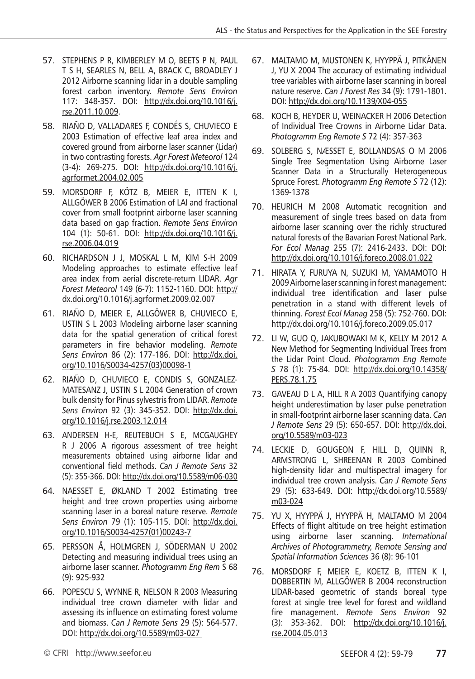- 57. STEPHENS P R, KIMBERLEY M O, BEETS P N, PAUL T S H, SEARLES N, BELL A, BRACK C, BROADLEY J 2012 Airborne scanning lidar in a double sampling forest carbon inventory. *Remote Sens Environ* 117: 348-357. DOI: http://dx.doi.org/10.1016/j. rse.2011.10.009.
- 58. RIAÑO D, VALLADARES F, CONDÉS S, CHUVIECO E 2003 Estimation of effective leaf area index and covered ground from airborne laser scanner (Lidar) in two contrasting forests. *Agr Forest Meteorol* 124 (3-4): 269-275. DOI: http://dx.doi.org/10.1016/j. agrformet.2004.02.005
- 59. MORSDORF F, KÖTZ B, MEIER E, ITTEN K I, ALLGÖWER B 2006 Estimation of LAI and fractional cover from small footprint airborne laser scanning data based on gap fraction. *Remote Sens Environ* 104 (1): 50-61. DOI: http://dx.doi.org/10.1016/j. rse.2006.04.019
- 60. RICHARDSON J J, MOSKAL L M, KIM S-H 2009 Modeling approaches to estimate effective leaf area index from aerial discrete-return LIDAR. *Agr Forest Meteorol* 149 (6-7): 1152-1160. DOI: http:// dx.doi.org/10.1016/j.agrformet.2009.02.007
- 61. RIAÑO D, MEIER E, ALLGÖWER B, CHUVIECO E, USTIN S L 2003 Modeling airborne laser scanning data for the spatial generation of critical forest parameters in fire behavior modeling. *Remote Sens Environ* 86 (2): 177-186. DOI: http://dx.doi. org/10.1016/S0034-4257(03)00098-1
- 62. RIAÑO D, CHUVIECO E, CONDIS S, GONZALEZ-MATESANZ J, USTIN S L 2004 Generation of crown bulk density for Pinus sylvestris from LIDAR. *Remote Sens Environ* 92 (3): 345-352. DOI: http://dx.doi. org/10.1016/j.rse.2003.12.014
- 63. ANDERSEN H-E, REUTEBUCH S E, MCGAUGHEY R J 2006 A rigorous assessment of tree height measurements obtained using airborne lidar and conventional field methods. *Can J Remote Sens* 32 (5): 355-366. DOI: http://dx.doi.org/10.5589/m06-030
- 64. NAESSET E, ØKLAND T 2002 Estimating tree height and tree crown properties using airborne scanning laser in a boreal nature reserve. *Remote Sens Environ* 79 (1): 105-115. DOI: http://dx.doi. org/10.1016/S0034-4257(01)00243-7
- 65. PERSSON Å, HOLMGREN J, SÖDERMAN U 2002 Detecting and measuring individual trees using an airborne laser scanner. *Photogramm Eng Rem* S 68 (9): 925-932
- 66. POPESCU S, WYNNE R, NELSON R 2003 Measuring individual tree crown diameter with lidar and assessing its influence on estimating forest volume and biomass. *Can J Remote Sens* 29 (5): 564-577. DOI: http://dx.doi.org/10.5589/m03-027
- 67. MALTAMO M, MUSTONEN K, HYYPPÄ J, PITKÄNEN J, YU X 2004 The accuracy of estimating individual tree variables with airborne laser scanning in boreal nature reserve. *Can J Forest Res* 34 (9): 1791-1801. DOI: http://dx.doi.org/10.1139/X04-055
- 68. KOCH B, HEYDER U, WEINACKER H 2006 Detection of Individual Tree Crowns in Airborne Lidar Data. *Photogramm Eng Remote S* 72 (4): 357-363
- 69. SOLBERG S, NÆSSET E, BOLLANDSAS O M 2006 Single Tree Segmentation Using Airborne Laser Scanner Data in a Structurally Heterogeneous Spruce Forest. *Photogramm Eng Remote S* 72 (12): 1369-1378
- 70. HEURICH M 2008 Automatic recognition and measurement of single trees based on data from airborne laser scanning over the richly structured natural forests of the Bavarian Forest National Park. *For Ecol Manag* 255 (7): 2416-2433. DOI: DOI: http://dx.doi.org/10.1016/j.foreco.2008.01.022
- 71. HIRATA Y, FURUYA N, SUZUKI M, YAMAMOTO H 2009 Airborne laser scanning in forest management: individual tree identification and laser pulse penetration in a stand with different levels of thinning. *Forest Ecol Manag* 258 (5): 752-760. DOI: http://dx.doi.org/10.1016/j.foreco.2009.05.017
- 72. LI W, GUO Q, JAKUBOWAKI M K, KELLY M 2012 A New Method for Segmenting Individual Trees from the Lidar Point Cloud. *Photogramm Eng Remote S* 78 (1): 75-84. DOI: http://dx.doi.org/10.14358/ PERS.78.1.75
- 73. GAVEAU D L A, HILL R A 2003 Quantifying canopy height underestimation by laser pulse penetration in small-footprint airborne laser scanning data. *Can J Remote Sens* 29 (5): 650-657. DOI: http://dx.doi. org/10.5589/m03-023
- 74. LECKIE D, GOUGEON F, HILL D, QUINN R, ARMSTRONG L, SHREENAN R 2003 Combined high-density lidar and multispectral imagery for individual tree crown analysis. *Can J Remote Sens* 29 (5): 633-649. DOI: http://dx.doi.org/10.5589/ m03-024
- 75. YU X, HYYPPÄ J, HYYPPÄ H, MALTAMO M 2004 Effects of flight altitude on tree height estimation using airborne laser scanning. *International Archives of Photogrammetry, Remote Sensing and Spatial Information Sciences* 36 (8): 96-101
- 76. MORSDORF F, MEIER E, KOETZ B, ITTEN K I, DOBBERTIN M, ALLGÖWER B 2004 reconstruction LIDAR-based geometric of stands boreal type forest at single tree level for forest and wildland fire management. *Remote Sens Environ* 92 (3): 353-362. DOI: http://dx.doi.org/10.1016/j. rse.2004.05.013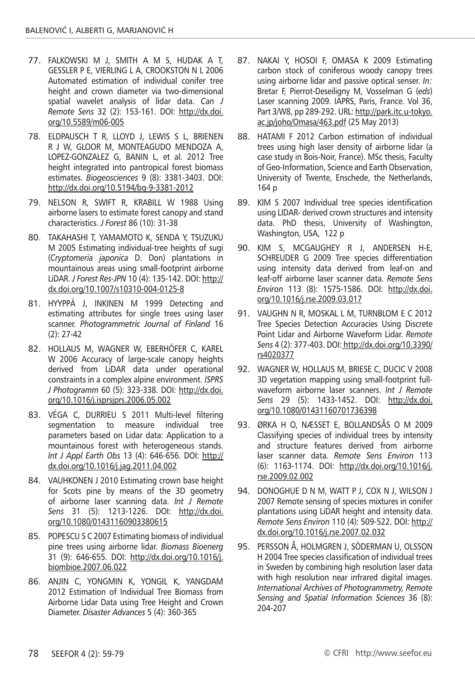- 77. FALKOWSKI M J, SMITH A M S, HUDAK A T, GESSLER P E, VIERLING L A, CROOKSTON N L 2006 Automated estimation of individual conifer tree height and crown diameter via two-dimensional spatial wavelet analysis of lidar data. *Can J Remote Sens* 32 (2): 153-161. DOI: http://dx.doi. org/10.5589/m06-005
- 78. ELDPAUSCH T R, LLOYD J, LEWIS S L, BRIENEN R J W, GLOOR M, MONTEAGUDO MENDOZA A, LOPEZ-GONZALEZ G, BANIN L, et al. 2012 Tree height integrated into pantropical forest biomass estimates. *Biogeosciences* 9 (8): 3381-3403. DOI: http://dx.doi.org/10.5194/bg-9-3381-2012
- 79. NELSON R, SWIFT R, KRABILL W 1988 Using airborne lasers to estimate forest canopy and stand characteristics. *J Forest* 86 (10): 31-38
- 80. TAKAHASHI T, YAMAMOTO K, SENDA Y, TSUZUKU M 2005 Estimating individual-tree heights of sugi (*Cryptomeria japonica* D. Don) plantations in mountainous areas using small-footprint airborne LiDAR. *J Forest Res-JPN* 10 (4): 135-142. DOI: http:// dx.doi.org/10.1007/s10310-004-0125-8
- 81. HYYPPÄ J, INKINEN M 1999 Detecting and estimating attributes for single trees using laser scanner. *Photogrammetric Journal of Finland* 16 (2): 27-42
- 82. HOLLAUS M, WAGNER W, EBERHÖFER C, KAREL W 2006 Accuracy of large-scale canopy heights derived from LiDAR data under operational constraints in a complex alpine environment. *ISPRS J Photogramm* 60 (5): 323-338. DOI: http://dx.doi. org/10.1016/j.isprsjprs.2006.05.002
- 83. VÉGA C, DURRIEU S 2011 Multi-level filtering segmentation to measure individual tree parameters based on Lidar data: Application to a mountainous forest with heterogeneous stands. *Int J Appl Earth Obs* 13 (4): 646-656. DOI: http:// dx.doi.org/10.1016/j.jag.2011.04.002
- 84. VAUHKONEN J 2010 Estimating crown base height for Scots pine by means of the 3D geometry of airborne laser scanning data. *Int J Remote Sens* 31 (5): 1213-1226. DOI: http://dx.doi. org/10.1080/01431160903380615
- 85. POPESCU S C 2007 Estimating biomass of individual pine trees using airborne lidar. *Biomass Bioenerg* 31 (9): 646-655. DOI: http://dx.doi.org/10.1016/j. biombioe.2007.06.022
- 86. ANJIN C, YONGMIN K, YONGIL K, YANGDAM 2012 Estimation of Individual Tree Biomass from Airborne Lidar Data using Tree Height and Crown Diameter. *Disaster Advances* 5 (4): 360-365
- 87. NAKAI Y, HOSOI F, OMASA K 2009 Estimating carbon stock of coniferous woody canopy trees using airborne lidar and passive optical senser. *In:* Bretar F, Pierrot-Deseiligny M, Vosselman G (*eds*) Laser scanning 2009. IAPRS, Paris, France. Vol 36, Part 3/W8, pp 289-292. URL: http://park.itc.u-tokyo. ac.jp/joho/Omasa/463.pdf (25 May 2013)
- 88. HATAMI F 2012 Carbon estimation of individual trees using high laser density of airborne lidar (a case study in Bois-Noir, France). MSc thesis, Faculty of Geo-Information, Science and Earth Observation, University of Twente, Enschede, the Netherlands, 164 p
- 89. KIM S 2007 Individual tree species identification using LIDAR- derived crown structures and intensity data. PhD thesis, University of Washington, Washington, USA, 122 p
- 90. KIM S, MCGAUGHEY R J, ANDERSEN H-E, SCHREUDER G 2009 Tree species differentiation using intensity data derived from leaf-on and leaf-off airborne laser scanner data. *Remote Sens Environ* 113 (8): 1575-1586. DOI: http://dx.doi. org/10.1016/j.rse.2009.03.017
- 91. VAUGHN N R, MOSKAL L M, TURNBLOM E C 2012 Tree Species Detection Accuracies Using Discrete Point Lidar and Airborne Waveform Lidar. *Remote Sens* 4 (2): 377-403. DOI: http://dx.doi.org/10.3390/ rs4020377
- 92. WAGNER W, HOLLAUS M, BRIESE C, DUCIC V 2008 3D vegetation mapping using small-footprint fullwaveform airborne laser scanners. *Int J Remote Sens* 29 (5): 1433-1452. DOI: http://dx.doi. org/10.1080/01431160701736398
- 93. ØRKA H O, NÆSSET E, BOLLANDSÅS O M 2009 Classifying species of individual trees by intensity and structure features derived from airborne laser scanner data. *Remote Sens Environ* 113 (6): 1163-1174. DOI: http://dx.doi.org/10.1016/j. rse.2009.02.002
- 94. DONOGHUE D N M, WATT P J, COX N J, WILSON J 2007 Remote sensing of species mixtures in conifer plantations using LiDAR height and intensity data. *Remote Sens Environ* 110 (4): 509-522. DOI: http:// dx.doi.org/10.1016/j.rse.2007.02.032
- 95. PERSSON Å, HOLMGREN J, SÖDERMAN U, OLSSON H 2004 Tree species classification of individual trees in Sweden by combining high resolution laser data with high resolution near infrared digital images. *International Archives of Photogrammetry, Remote Sensing and Spatial Information Sciences* 36 (8): 204-207